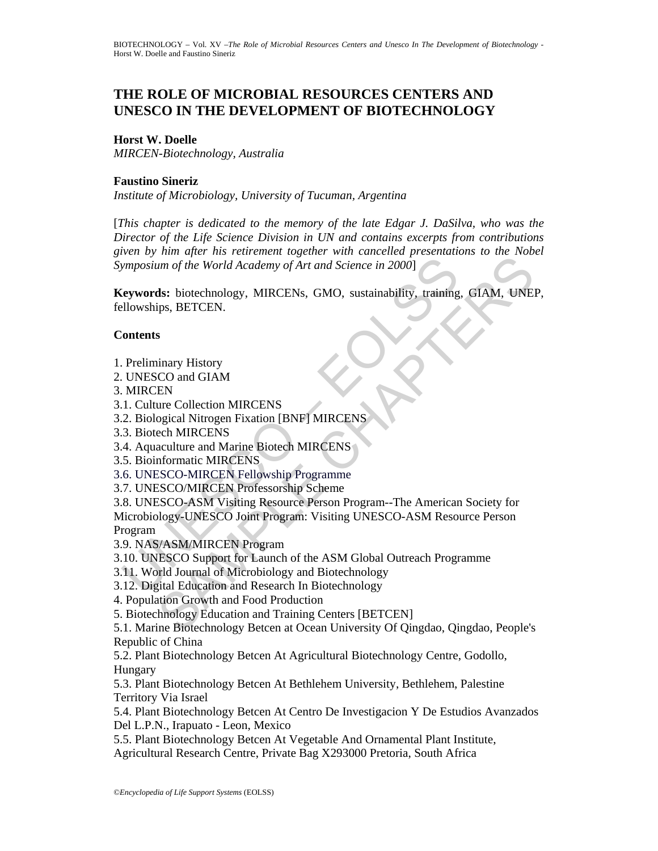# **THE ROLE OF MICROBIAL RESOURCES CENTERS AND UNESCO IN THE DEVELOPMENT OF BIOTECHNOLOGY**

# **Horst W. Doelle**

*MIRCEN-Biotechnology, Australia* 

#### **Faustino Sineriz**

*Institute of Microbiology, University of Tucuman, Argentina* 

[*This chapter is dedicated to the memory of the late Edgar J. DaSilva, who was the Director of the Life Science Division in UN and contains excerpts from contributions given by him after his retirement together with cancelled presentations to the Nobel Symposium of the World Academy of Art and Science in 2000*]

**Keywords:** biotechnology, MIRCENs, GMO, sustainability, training, GIAM, UNEP, fellowships, BETCEN.

## **Contents**

- 1. Preliminary History
- 2. UNESCO and GIAM
- 3. MIRCEN
- 3.1. Culture Collection MIRCENS
- 3.2. Biological Nitrogen Fixation [BNF] MIRCENS
- 3.3. Biotech MIRCENS
- 3.4. Aquaculture and Marine Biotech MIRCENS
- 3.5. Bioinformatic MIRCENS
- 3.6. UNESCO-MIRCEN Fellowship Programme
- 3.7. UNESCO/MIRCEN Professorship Scheme

Manuson of the World Academy of Art and Science in 2000]<br>
(Eywords: biotechnology, MIRCENs, GMO, sustainability, training<br>
Elowships, BETCEN.<br>
UNESCO and GIAM<br>
MIRCEN<br>
2. Biological Nitrogen Fixation [BNF] MIRCENS<br>
2. Biol Final of the World Academy of Art and Science in 2000]<br>
an of the World Academy of Art and Science in 2000]<br>
Sas: biotechnology, MIRCENs, GMO, sustainability, training, GIAM, UNE<br>
signs, BETCEN.<br>
SPECEN.<br>
SPECTERS SAMPLE C 3.8. UNESCO-ASM Visiting Resource Person Program--The American Society for Microbiology-UNESCO Joint Program: Visiting UNESCO-ASM Resource Person Program

3.9. NAS/ASM/MIRCEN Program

3.10. UNESCO Support for Launch of the ASM Global Outreach Programme

- 3.11. World Journal of Microbiology and Biotechnology
- 3.12. Digital Education and Research In Biotechnology
- 4. Population Growth and Food Production
- 5. Biotechnology Education and Training Centers [BETCEN]

5.1. Marine Biotechnology Betcen at Ocean University Of Qingdao, Qingdao, People's Republic of China

5.2. Plant Biotechnology Betcen At Agricultural Biotechnology Centre, Godollo, Hungary

5.3. Plant Biotechnology Betcen At Bethlehem University, Bethlehem, Palestine Territory Via Israel

5.4. Plant Biotechnology Betcen At Centro De Investigacion Y De Estudios Avanzados Del L.P.N., Irapuato - Leon, Mexico

5.5. Plant Biotechnology Betcen At Vegetable And Ornamental Plant Institute,

Agricultural Research Centre, Private Bag X293000 Pretoria, South Africa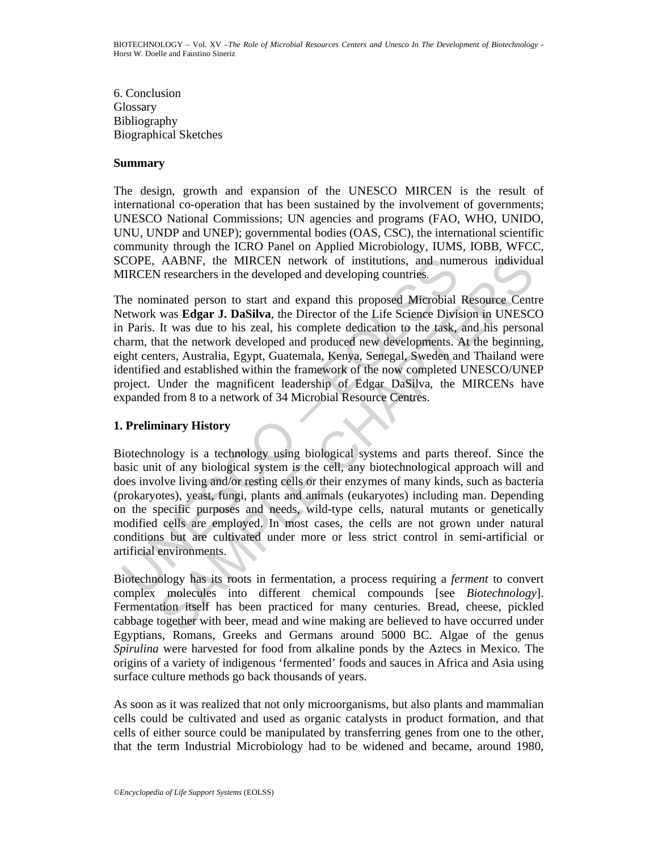6. Conclusion **Glossary** Bibliography Biographical Sketches

#### **Summary**

The design, growth and expansion of the UNESCO MIRCEN is the result of international co-operation that has been sustained by the involvement of governments; UNESCO National Commissions; UN agencies and programs (FAO, WHO, UNIDO, UNU, UNDP and UNEP); governmental bodies (OAS, CSC), the international scientific community through the ICRO Panel on Applied Microbiology, IUMS, IOBB, WFCC, SCOPE, AABNF, the MIRCEN network of institutions, and numerous individual MIRCEN researchers in the developed and developing countries.

COPE, AABNF, the MIRCEN network of institutions, and num<br>IIRCEN researchers in the developed and developing countries.<br>
he nominated person to start and expand this proposed Microbial<br>
letwork was **Edgar J. DaSilva**, the AABNF, the MIRCEN network of institutions, and numerous individual<br>
researchers in the developed and developing countries.<br>
was Edgar J. DaSilva, the Director of the Life Science Definitional Resource Cent<br>
was detay to b The nominated person to start and expand this proposed Microbial Resource Centre Network was **Edgar J. DaSilva**, the Director of the Life Science Division in UNESCO in Paris. It was due to his zeal, his complete dedication to the task, and his personal charm, that the network developed and produced new developments. At the beginning, eight centers, Australia, Egypt, Guatemala, Kenya, Senegal, Sweden and Thailand were identified and established within the framework of the now completed UNESCO/UNEP project. Under the magnificent leadership of Edgar DaSilva, the MIRCENs have expanded from 8 to a network of 34 Microbial Resource Centres.

## **1. Preliminary History**

Biotechnology is a technology using biological systems and parts thereof. Since the basic unit of any biological system is the cell, any biotechnological approach will and does involve living and/or resting cells or their enzymes of many kinds, such as bacteria (prokaryotes), yeast, fungi, plants and animals (eukaryotes) including man. Depending on the specific purposes and needs, wild-type cells, natural mutants or genetically modified cells are employed. In most cases, the cells are not grown under natural conditions but are cultivated under more or less strict control in semi-artificial or artificial environments.

Biotechnology has its roots in fermentation, a process requiring a *ferment* to convert complex molecules into different chemical compounds [see *Biotechnology*]. Fermentation itself has been practiced for many centuries. Bread, cheese, pickled cabbage together with beer, mead and wine making are believed to have occurred under Egyptians, Romans, Greeks and Germans around 5000 BC. Algae of the genus *Spirulina* were harvested for food from alkaline ponds by the Aztecs in Mexico. The origins of a variety of indigenous 'fermented' foods and sauces in Africa and Asia using surface culture methods go back thousands of years.

As soon as it was realized that not only microorganisms, but also plants and mammalian cells could be cultivated and used as organic catalysts in product formation, and that cells of either source could be manipulated by transferring genes from one to the other, that the term Industrial Microbiology had to be widened and became, around 1980,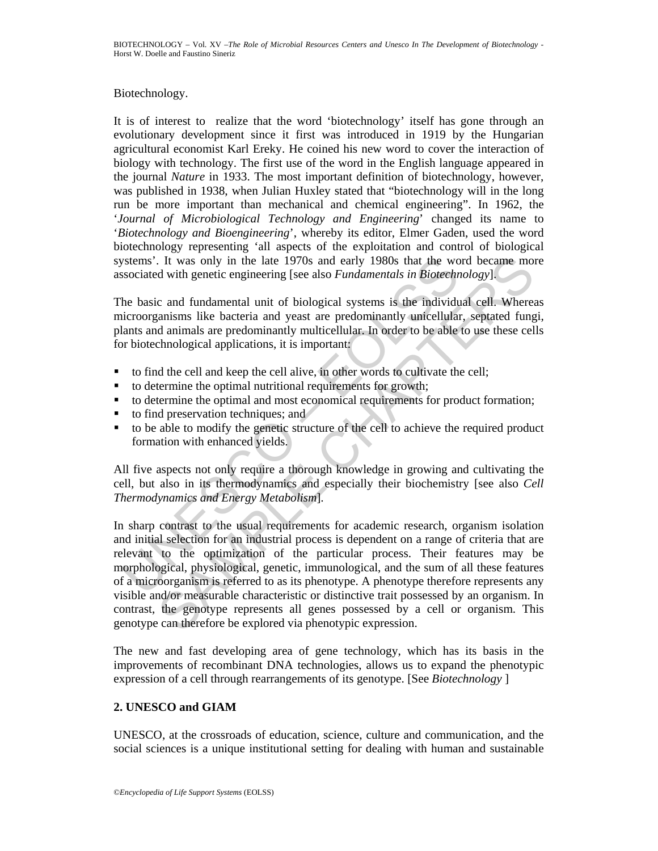## Biotechnology.

It is of interest to realize that the word 'biotechnology' itself has gone through an evolutionary development since it first was introduced in 1919 by the Hungarian agricultural economist Karl Ereky. He coined his new word to cover the interaction of biology with technology. The first use of the word in the English language appeared in the journal *Nature* in 1933. The most important definition of biotechnology, however, was published in 1938, when Julian Huxley stated that "biotechnology will in the long run be more important than mechanical and chemical engineering". In 1962, the '*Journal of Microbiological Technology and Engineering*' changed its name to '*Biotechnology and Bioengineering*', whereby its editor, Elmer Gaden, used the word biotechnology representing 'all aspects of the exploitation and control of biological systems'. It was only in the late 1970s and early 1980s that the word became more associated with genetic engineering [see also *Fundamentals in Biotechnology*].

The basic and fundamental unit of biological systems is the individual cell. Whereas microorganisms like bacteria and yeast are predominantly unicellular, septated fungi, plants and animals are predominantly multicellular. In order to be able to use these cells for biotechnological applications, it is important:

- to find the cell and keep the cell alive, in other words to cultivate the cell;
- to determine the optimal nutritional requirements for growth;
- to determine the optimal and most economical requirements for product formation;
- to find preservation techniques; and
- to be able to modify the genetic structure of the cell to achieve the required product formation with enhanced yields.

All five aspects not only require a thorough knowledge in growing and cultivating the cell, but also in its thermodynamics and especially their biochemistry [see also *Cell Thermodynamics and Energy Metabolism*].

versions'. It was only in the late 1970s and early 1980s that the worsociated with genetic engineering [see also *Fundamentals in Biotechn*<br>he basic and fundamental unit of biological systems is the individual<br>corror biolo . It was only in the late 1970s and carly 1980s that the word became mot dwith genetic engineering [see also Fundamentals in Biotechnology].<br>
c and fundamental unit of biological systems is the individual cell. Wherea<br>
ca In sharp contrast to the usual requirements for academic research, organism isolation and initial selection for an industrial process is dependent on a range of criteria that are relevant to the optimization of the particular process. Their features may be morphological, physiological, genetic, immunological, and the sum of all these features of a microorganism is referred to as its phenotype. A phenotype therefore represents any visible and/or measurable characteristic or distinctive trait possessed by an organism. In contrast, the genotype represents all genes possessed by a cell or organism. This genotype can therefore be explored via phenotypic expression.

The new and fast developing area of gene technology, which has its basis in the improvements of recombinant DNA technologies, allows us to expand the phenotypic expression of a cell through rearrangements of its genotype. [See *Biotechnology* ]

# **2. UNESCO and GIAM**

UNESCO, at the crossroads of education, science, culture and communication, and the social sciences is a unique institutional setting for dealing with human and sustainable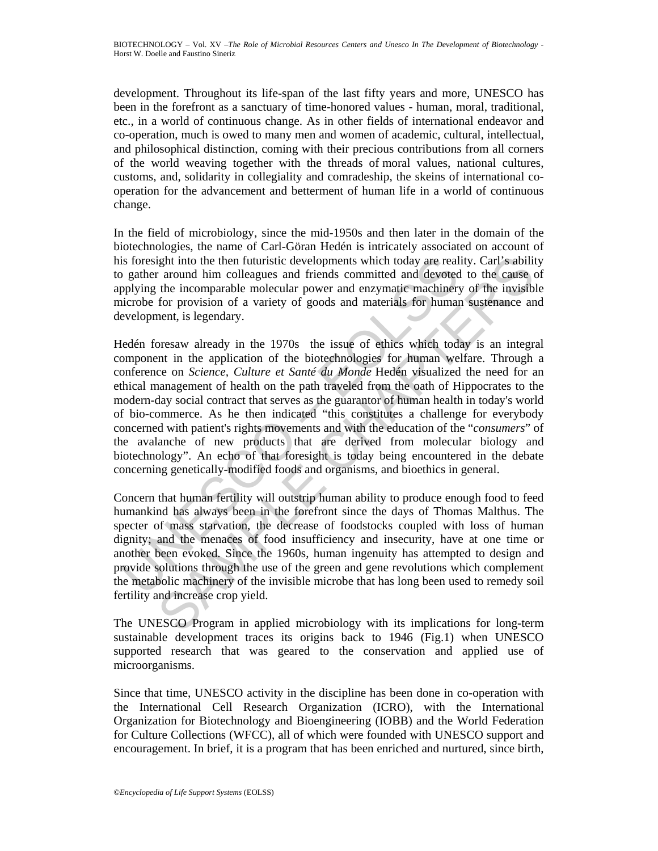development. Throughout its life-span of the last fifty years and more, UNESCO has been in the forefront as a sanctuary of time-honored values - human, moral, traditional, etc., in a world of continuous change. As in other fields of international endeavor and co-operation, much is owed to many men and women of academic, cultural, intellectual, and philosophical distinction, coming with their precious contributions from all corners of the world weaving together with the threads of moral values, national cultures, customs, and, solidarity in collegiality and comradeship, the skeins of international cooperation for the advancement and betterment of human life in a world of continuous change.

In the field of microbiology, since the mid-1950s and then later in the domain of the biotechnologies, the name of Carl-Göran Hedén is intricately associated on account of his foresight into the then futuristic developments which today are reality. Carl's ability to gather around him colleagues and friends committed and devoted to the cause of applying the incomparable molecular power and enzymatic machinery of the invisible microbe for provision of a variety of goods and materials for human sustenance and development, is legendary.

is foresight into the then futuristic developments which today are real<br>gather around him colleagues and friends committed and devoted<br>polying the incomparable molecular power and enzymatic machinery<br>polying the incomparab ight into the then futuristic developments which today are reality. Car!'s abilit are around him colleagues and friends committed and deveted to the cases or friends or incomparable molecular power and enzymatic machinery Hedén foresaw already in the 1970s the issue of ethics which today is an integral component in the application of the biotechnologies for human welfare. Through a conference on *Science, Culture et Santé du Monde* Hedén visualized the need for an ethical management of health on the path traveled from the oath of Hippocrates to the modern-day social contract that serves as the guarantor of human health in today's world of bio-commerce. As he then indicated "this constitutes a challenge for everybody concerned with patient's rights movements and with the education of the "*consumers*" of the avalanche of new products that are derived from molecular biology and biotechnology". An echo of that foresight is today being encountered in the debate concerning genetically-modified foods and organisms, and bioethics in general.

Concern that human fertility will outstrip human ability to produce enough food to feed humankind has always been in the forefront since the days of Thomas Malthus. The specter of mass starvation, the decrease of foodstocks coupled with loss of human dignity; and the menaces of food insufficiency and insecurity, have at one time or another been evoked. Since the 1960s, human ingenuity has attempted to design and provide solutions through the use of the green and gene revolutions which complement the metabolic machinery of the invisible microbe that has long been used to remedy soil fertility and increase crop yield.

The UNESCO Program in applied microbiology with its implications for long-term sustainable development traces its origins back to 1946 (Fig.1) when UNESCO supported research that was geared to the conservation and applied use of microorganisms.

Since that time, UNESCO activity in the discipline has been done in co-operation with the International Cell Research Organization (ICRO), with the International Organization for Biotechnology and Bioengineering (IOBB) and the World Federation for Culture Collections (WFCC), all of which were founded with UNESCO support and encouragement. In brief, it is a program that has been enriched and nurtured, since birth,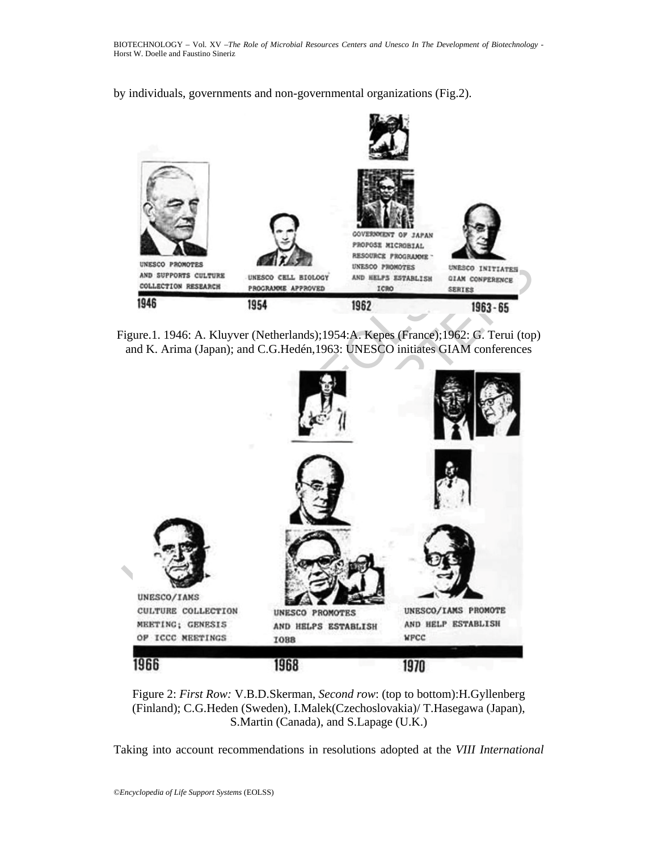by individuals, governments and non-governmental organizations (Fig.2).



Figure.1. 1946: A. Kluyver (Netherlands);1954:A. Kepes (France);1962: G. Terui (top) and K. Arima (Japan); and C.G.Hedén,1963: UNESCO initiates GIAM conferences



Figure 2: *First Row:* V.B.D.Skerman, *Second row*: (top to bottom):H.Gyllenberg (Finland); C.G.Heden (Sweden), I.Malek(Czechoslovakia)/ T.Hasegawa (Japan), S.Martin (Canada), and S.Lapage (U.K.)

Taking into account recommendations in resolutions adopted at the *VIII International*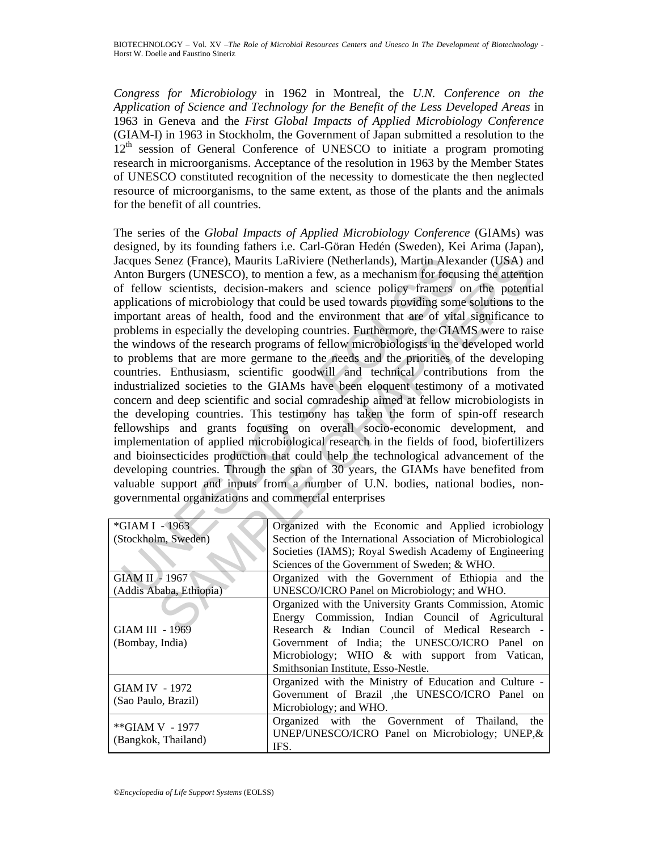*Congress for Microbiology* in 1962 in Montreal, the *U.N. Conference on the Application of Science and Technology for the Benefit of the Less Developed Areas* in 1963 in Geneva and the *First Global Impacts of Applied Microbiology Conference*  (GIAM-I) in 1963 in Stockholm, the Government of Japan submitted a resolution to the  $12<sup>th</sup>$  session of General Conference of UNESCO to initiate a program promoting research in microorganisms. Acceptance of the resolution in 1963 by the Member States of UNESCO constituted recognition of the necessity to domesticate the then neglected resource of microorganisms, to the same extent, as those of the plants and the animals for the benefit of all countries.

Expection Burgers (Prance), Maurits LaRiviere (Netherlands), Martin Alex<br>
Into Burgers (UNESCO), to mention a few, as a mechanism for focus<br>
f fiellow scientists, decision-makers and science policy framers<br>
f fiellow scien Senez (France), Maurits LaRiviere (Netherlands), Martin Alexander (USA) and<br>
surgers (UNESCO), to mention a few, as a mechanism for focusing the attention<br>
surgers (UNESCO), to mention and science policy framers on the pot The series of the *Global Impacts of Applied Microbiology Conference* (GIAMs) was designed, by its founding fathers i.e. Carl-Göran Hedén (Sweden), Kei Arima (Japan), Jacques Senez (France), Maurits LaRiviere (Netherlands), Martin Alexander (USA) and Anton Burgers (UNESCO), to mention a few, as a mechanism for focusing the attention of fellow scientists, decision-makers and science policy framers on the potential applications of microbiology that could be used towards providing some solutions to the important areas of health, food and the environment that are of vital significance to problems in especially the developing countries. Furthermore, the GIAMS were to raise the windows of the research programs of fellow microbiologists in the developed world to problems that are more germane to the needs and the priorities of the developing countries. Enthusiasm, scientific goodwill and technical contributions from the industrialized societies to the GIAMs have been eloquent testimony of a motivated concern and deep scientific and social comradeship aimed at fellow microbiologists in the developing countries. This testimony has taken the form of spin-off research fellowships and grants focusing on overall socio-economic development, and implementation of applied microbiological research in the fields of food, biofertilizers and bioinsecticides production that could help the technological advancement of the developing countries. Through the span of 30 years, the GIAMs have benefited from valuable support and inputs from a number of U.N. bodies, national bodies, nongovernmental organizations and commercial enterprises

| *GIAM I - 1963          | Organized with the Economic and Applied icrobiology         |
|-------------------------|-------------------------------------------------------------|
| (Stockholm, Sweden)     | Section of the International Association of Microbiological |
|                         | Societies (IAMS); Royal Swedish Academy of Engineering      |
|                         | Sciences of the Government of Sweden; & WHO.                |
| GIAM II - 1967          | Organized with the Government of Ethiopia and the           |
| (Addis Ababa, Ethiopia) | UNESCO/ICRO Panel on Microbiology; and WHO.                 |
|                         | Organized with the University Grants Commission, Atomic     |
|                         | Energy Commission, Indian Council of Agricultural           |
| <b>GIAM III - 1969</b>  | Research & Indian Council of Medical Research -             |
| (Bombay, India)         | Government of India; the UNESCO/ICRO Panel on               |
|                         | Microbiology; WHO & with support from Vatican,              |
|                         | Smithsonian Institute, Esso-Nestle.                         |
|                         | Organized with the Ministry of Education and Culture -      |
| <b>GIAM IV - 1972</b>   | Government of Brazil ,the UNESCO/ICRO Panel on              |
| (Sao Paulo, Brazil)     | Microbiology; and WHO.                                      |
|                         | Organized with the Government of Thailand, the              |
| **GIAM V - 1977         | UNEP/UNESCO/ICRO Panel on Microbiology; UNEP, &             |
| (Bangkok, Thailand)     | IFS.                                                        |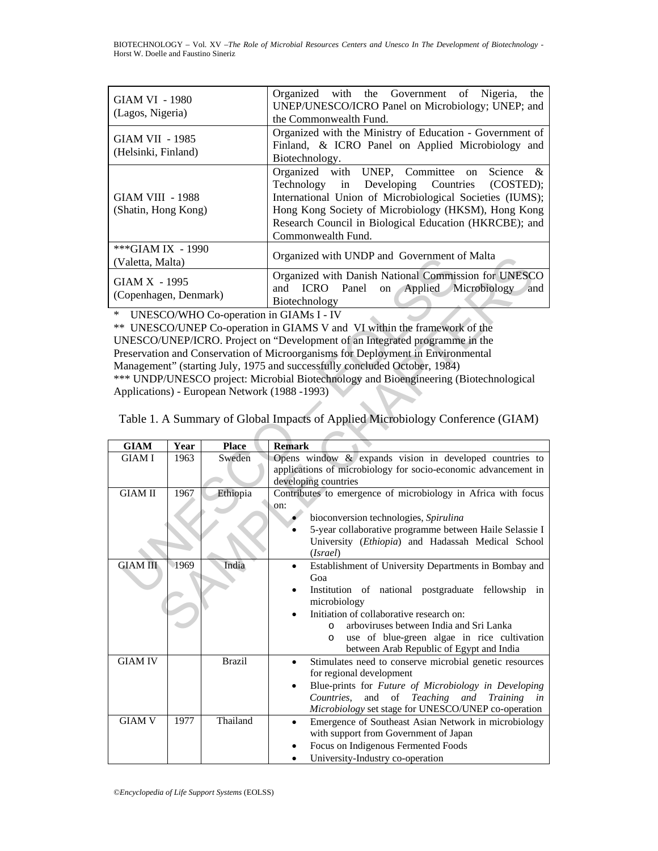BIOTECHNOLOGY – Vol. XV –*The Role of Microbial Resources Centers and Unesco In The Development of Biotechnology* - Horst W. Doelle and Faustino Sineriz

| <b>GIAM VI - 1980</b><br>(Lagos, Nigeria)      | Organized with the Government of Nigeria, the<br>UNEP/UNESCO/ICRO Panel on Microbiology; UNEP; and<br>the Commonwealth Fund.                                                                                                                                                                   |
|------------------------------------------------|------------------------------------------------------------------------------------------------------------------------------------------------------------------------------------------------------------------------------------------------------------------------------------------------|
| <b>GIAM VII - 1985</b><br>(Helsinki, Finland)  | Organized with the Ministry of Education - Government of<br>Finland, & ICRO Panel on Applied Microbiology and<br>Biotechnology.                                                                                                                                                                |
| <b>GIAM VIII - 1988</b><br>(Shatin, Hong Kong) | Organized with UNEP, Committee on Science &<br>Technology in Developing Countries (COSTED);<br>International Union of Microbiological Societies (IUMS);<br>Hong Kong Society of Microbiology (HKSM), Hong Kong<br>Research Council in Biological Education (HKRCBE); and<br>Commonwealth Fund. |
| ***GIAM IX - 1990<br>(Valetta, Malta)          | Organized with UNDP and Government of Malta                                                                                                                                                                                                                                                    |
| GIAM X - 1995<br>(Copenhagen, Denmark)         | Organized with Danish National Commission for UNESCO<br>ICRO Panel<br>on Applied Microbiology<br>and<br>and<br>Biotechnology                                                                                                                                                                   |

| (Valetta, Malta)                       |                                                                            |                                               | Organized with UNDP and Government of Malta                                                                                        |  |  |  |
|----------------------------------------|----------------------------------------------------------------------------|-----------------------------------------------|------------------------------------------------------------------------------------------------------------------------------------|--|--|--|
| GIAM X - 1995<br>(Copenhagen, Denmark) |                                                                            |                                               | Organized with Danish National Commission for UNESCO<br>and<br>ICRO Panel<br>Applied<br>Microbiology<br>on<br>and<br>Biotechnology |  |  |  |
| *                                      |                                                                            |                                               | UNESCO/WHO Co-operation in GIAMs I - IV                                                                                            |  |  |  |
|                                        |                                                                            |                                               | ** UNESCO/UNEP Co-operation in GIAMS V and VI within the framework of the                                                          |  |  |  |
|                                        |                                                                            |                                               | UNESCO/UNEP/ICRO. Project on "Development of an Integrated programme in the                                                        |  |  |  |
|                                        |                                                                            |                                               | Preservation and Conservation of Microorganisms for Deployment in Environmental                                                    |  |  |  |
|                                        | Management" (starting July, 1975 and successfully concluded October, 1984) |                                               |                                                                                                                                    |  |  |  |
|                                        |                                                                            |                                               | *** UNDP/UNESCO project: Microbial Biotechnology and Bioengineering (Biotechnological                                              |  |  |  |
|                                        |                                                                            | Applications) - European Network (1988 -1993) |                                                                                                                                    |  |  |  |
|                                        |                                                                            |                                               |                                                                                                                                    |  |  |  |
|                                        |                                                                            |                                               | Table 1. A Summary of Global Impacts of Applied Microbiology Conference (GIAM)                                                     |  |  |  |
| <b>GIAM</b>                            | Year                                                                       | <b>Place</b>                                  | <b>Remark</b>                                                                                                                      |  |  |  |
| <b>GIAM I</b>                          | 1963                                                                       | Sweden                                        | Opens window $\&$ expands vision in developed countries to                                                                         |  |  |  |
|                                        |                                                                            |                                               | applications of microbiology for socio-economic advancement in                                                                     |  |  |  |
|                                        |                                                                            |                                               | developing countries                                                                                                               |  |  |  |
| <b>GIAM II</b>                         | 1967                                                                       | Ethiopia                                      | Contributes to emergence of microbiology in Africa with focus                                                                      |  |  |  |
|                                        |                                                                            |                                               | on:                                                                                                                                |  |  |  |
|                                        |                                                                            |                                               | bioconversion technologies, Spirulina                                                                                              |  |  |  |
|                                        |                                                                            |                                               | 5-year collaborative programme between Haile Selassie I                                                                            |  |  |  |
|                                        |                                                                            |                                               | University (Ethiopia) and Hadassah Medical School                                                                                  |  |  |  |
| <b>GIAM III</b>                        | 1969                                                                       | India                                         | (Israel)                                                                                                                           |  |  |  |
|                                        |                                                                            |                                               | Establishment of University Departments in Bombay and<br>$\bullet$<br>Goa                                                          |  |  |  |
|                                        |                                                                            |                                               | Institution of national postgraduate fellowship<br>in                                                                              |  |  |  |
|                                        |                                                                            |                                               | microbiology                                                                                                                       |  |  |  |
|                                        |                                                                            |                                               | Initiation of collaborative research on:<br>$\bullet$                                                                              |  |  |  |
|                                        |                                                                            |                                               | arboviruses between India and Sri Lanka<br>$\circ$                                                                                 |  |  |  |
|                                        |                                                                            |                                               | use of blue-green algae in rice cultivation<br>$\circ$                                                                             |  |  |  |
|                                        |                                                                            |                                               | between Arab Republic of Egypt and India                                                                                           |  |  |  |
| <b>GIAM IV</b>                         |                                                                            | <b>Brazil</b>                                 | Stimulates need to conserve microbial genetic resources<br>$\bullet$                                                               |  |  |  |
|                                        |                                                                            |                                               | for regional development                                                                                                           |  |  |  |
|                                        |                                                                            |                                               | Blue-prints for Future of Microbiology in Developing<br>$\bullet$                                                                  |  |  |  |
|                                        |                                                                            |                                               | of Teaching<br>Countries,<br>and<br>and<br>Training<br>in                                                                          |  |  |  |
|                                        |                                                                            |                                               | Microbiology set stage for UNESCO/UNEP co-operation                                                                                |  |  |  |
| <b>GIAM V</b>                          | 1977                                                                       | Thailand                                      | Emergence of Southeast Asian Network in microbiology<br>$\bullet$                                                                  |  |  |  |
|                                        |                                                                            |                                               | with support from Government of Japan                                                                                              |  |  |  |
|                                        |                                                                            |                                               | Focus on Indigenous Fermented Foods                                                                                                |  |  |  |
|                                        |                                                                            |                                               | University-Industry co-operation                                                                                                   |  |  |  |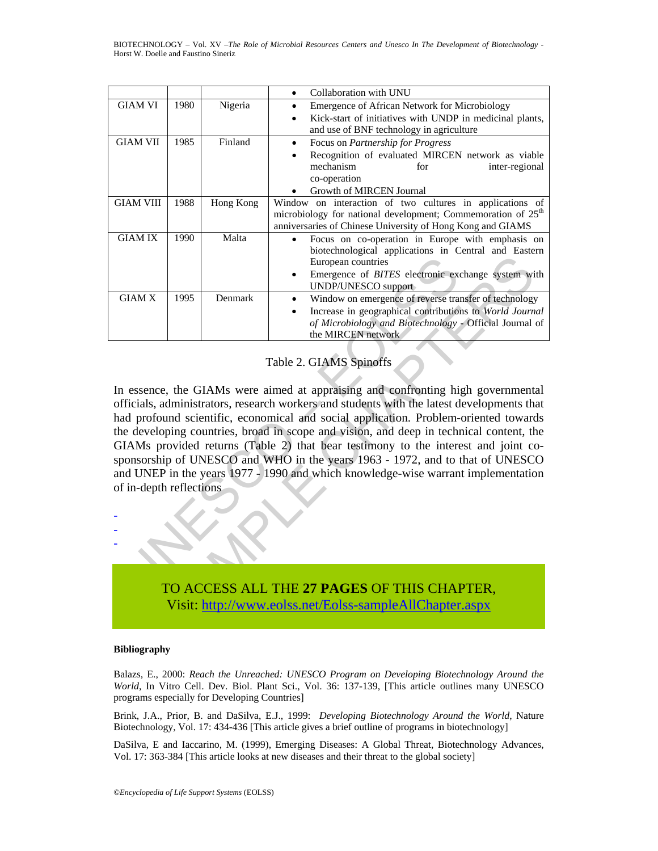BIOTECHNOLOGY – Vol. XV –*The Role of Microbial Resources Centers and Unesco In The Development of Biotechnology* - Horst W. Doelle and Faustino Sineriz

|                  |      |           | Collaboration with UNU                                                   |
|------------------|------|-----------|--------------------------------------------------------------------------|
| <b>GIAM VI</b>   | 1980 | Nigeria   | <b>Emergence of African Network for Microbiology</b>                     |
|                  |      |           | Kick-start of initiatives with UNDP in medicinal plants,                 |
|                  |      |           | and use of BNF technology in agriculture                                 |
| <b>GIAM VII</b>  | 1985 | Finland   | Focus on <i>Partnership for Progress</i>                                 |
|                  |      |           | Recognition of evaluated MIRCEN network as viable                        |
|                  |      |           | mechanism<br>for<br>inter-regional                                       |
|                  |      |           | co-operation                                                             |
|                  |      |           | Growth of MIRCEN Journal                                                 |
| <b>GIAM VIII</b> | 1988 | Hong Kong | Window on interaction of two cultures in applications of                 |
|                  |      |           | microbiology for national development; Commemoration of 25 <sup>th</sup> |
|                  |      |           | anniversaries of Chinese University of Hong Kong and GIAMS               |
| <b>GIAM IX</b>   | 1990 | Malta     | Focus on co-operation in Europe with emphasis on                         |
|                  |      |           | biotechnological applications in Central and Eastern                     |
|                  |      |           | European countries                                                       |
|                  |      |           | Emergence of <i>BITES</i> electronic exchange system with                |
|                  |      |           | UNDP/UNESCO support                                                      |
| <b>GIAM X</b>    | 1995 | Denmark   | Window on emergence of reverse transfer of technology                    |
|                  |      |           | Increase in geographical contributions to World Journal                  |
|                  |      |           | of Microbiology and Biotechnology - Official Journal of                  |
|                  |      |           | the MIRCEN network                                                       |

#### Table 2. GIAMS Spinoffs

European countries<sup>1</sup><br>
UNDP/UNESCO support<br>
UNDP/UNESCO support<br>
UNDP/UNESCO support<br>
UNDP/UNESCO support<br>
Increase in geographical contribution<br>
of Microbiology and Biotechnology<br>
the MIRCEN network<br>
Table 2. GIAMS Spinof European contries<br>
IMPEUNESCO support<br>
IMPEUNESCO support<br>
IMPEUNESCO support<br>
IMPEUNESCO support<br>
IMPEUNESCO support<br>
IMPEUNESCO support<br>
IMPEUNESCO support<br>
IMPEUNESCO support<br>
INTERS electronology and Biotechnology - Of In essence, the GIAMs were aimed at appraising and confronting high governmental officials, administrators, research workers and students with the latest developments that had profound scientific, economical and social application. Problem-oriented towards the developing countries, broad in scope and vision, and deep in technical content, the GIAMs provided returns (Table 2) that bear testimony to the interest and joint cosponsorship of UNESCO and WHO in the years 1963 - 1972, and to that of UNESCO and UNEP in the years 1977 - 1990 and which knowledge-wise warrant implementation of in-depth reflections



#### **Bibliography**

- - -

Balazs, E., 2000: *Reach the Unreached: UNESCO Program on Developing Biotechnology Around the World*, In Vitro Cell. Dev. Biol. Plant Sci., Vol. 36: 137-139, [This article outlines many UNESCO programs especially for Developing Countries]

Brink, J.A., Prior, B. and DaSilva, E.J., 1999: *Developing Biotechnology Around the World*, Nature Biotechnology, Vol. 17: 434-436 [This article gives a brief outline of programs in biotechnology]

DaSilva, E and Iaccarino, M. (1999), Emerging Diseases: A Global Threat, Biotechnology Advances, Vol. 17: 363-384 [This article looks at new diseases and their threat to the global society]